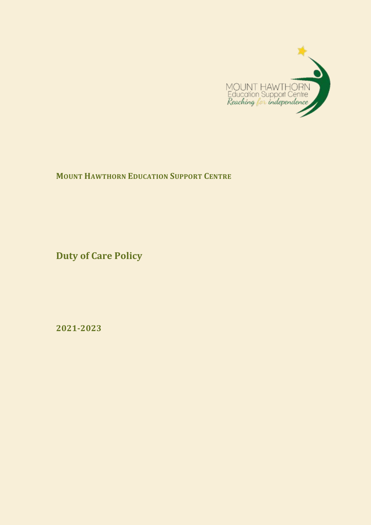

**MOUNT HAWTHORN EDUCATION SUPPORT CENTRE**

**Duty of Care Policy**

**2021-2023**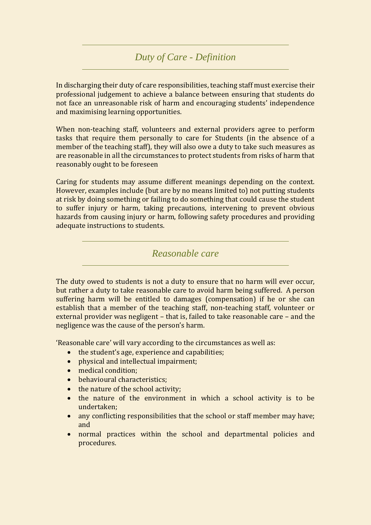## *Duty of Care - Definition*

In discharging their duty of care responsibilities, teaching staff must exercise their professional judgement to achieve a balance between ensuring that students do not face an unreasonable risk of harm and encouraging students' independence and maximising learning opportunities.

When non-teaching staff, volunteers and external providers agree to perform tasks that require them personally to care for Students (in the absence of a member of the teaching staff), they will also owe a duty to take such measures as are reasonable in all the circumstances to protect students from risks of harm that reasonably ought to be foreseen

Caring for students may assume different meanings depending on the context. However, examples include (but are by no means limited to) not putting students at risk by doing something or failing to do something that could cause the student to suffer injury or harm, taking precautions, intervening to prevent obvious hazards from causing injury or harm, following safety procedures and providing adequate instructions to students.

## *Reasonable care*

The duty owed to students is not a duty to ensure that no harm will ever occur, but rather a duty to take reasonable care to avoid harm being suffered. A person suffering harm will be entitled to damages (compensation) if he or she can establish that a member of the teaching staff, non-teaching staff, volunteer or external provider was negligent – that is, failed to take reasonable care – and the negligence was the cause of the person's harm.

'Reasonable care' will vary according to the circumstances as well as:

- the student's age, experience and capabilities;
- physical and intellectual impairment;
- medical condition;
- behavioural characteristics:
- the nature of the school activity;
- the nature of the environment in which a school activity is to be undertaken;
- any conflicting responsibilities that the school or staff member may have; and
- normal practices within the school and departmental policies and procedures.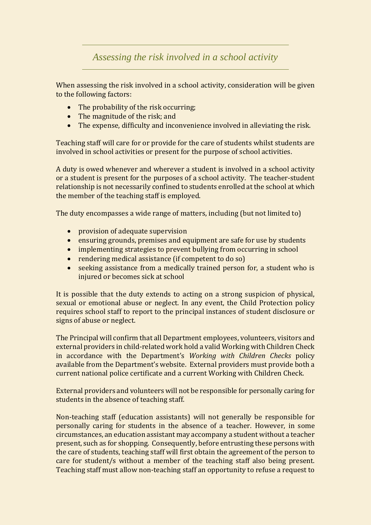*Assessing the risk involved in a school activity*

When assessing the risk involved in a school activity, consideration will be given to the following factors:

- The probability of the risk occurring:
- The magnitude of the risk; and
- The expense, difficulty and inconvenience involved in alleviating the risk.

Teaching staff will care for or provide for the care of students whilst students are involved in school activities or present for the purpose of school activities.

A duty is owed whenever and wherever a student is involved in a school activity or a student is present for the purposes of a school activity. The teacher-student relationship is not necessarily confined to students enrolled at the school at which the member of the teaching staff is employed.

The duty encompasses a wide range of matters, including (but not limited to)

- provision of adequate supervision
- ensuring grounds, premises and equipment are safe for use by students
- implementing strategies to prevent bullying from occurring in school
- rendering medical assistance (if competent to do so)
- seeking assistance from a medically trained person for, a student who is injured or becomes sick at school

It is possible that the duty extends to acting on a strong suspicion of physical, sexual or emotional abuse or neglect. In any event, the Child Protection policy requires school staff to report to the principal instances of student disclosure or signs of abuse or neglect.

The Principal will confirm that all Department employees, volunteers, visitors and external providers in child-related work hold a valid Working with Children Check in accordance with the Department's *Working with Children Checks* policy available from the Department's website. External providers must provide both a current national police certificate and a current Working with Children Check.

External providers and volunteers will not be responsible for personally caring for students in the absence of teaching staff.

Non-teaching staff (education assistants) will not generally be responsible for personally caring for students in the absence of a teacher. However, in some circumstances, an education assistant may accompany a student without a teacher present, such as for shopping. Consequently, before entrusting these persons with the care of students, teaching staff will first obtain the agreement of the person to care for student/s without a member of the teaching staff also being present. Teaching staff must allow non-teaching staff an opportunity to refuse a request to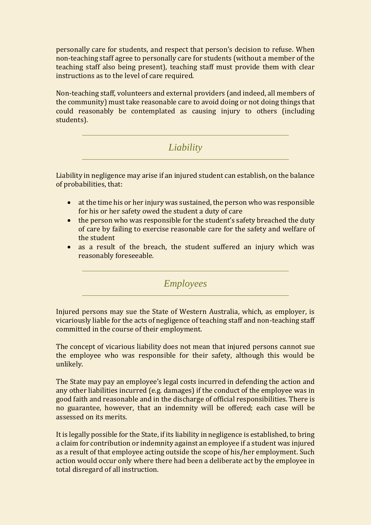personally care for students, and respect that person's decision to refuse. When non-teaching staff agree to personally care for students (without a member of the teaching staff also being present), teaching staff must provide them with clear instructions as to the level of care required.

Non-teaching staff, volunteers and external providers (and indeed, all members of the community) must take reasonable care to avoid doing or not doing things that could reasonably be contemplated as causing injury to others (including students).

## *Liability*

Liability in negligence may arise if an injured student can establish, on the balance of probabilities, that:

- at the time his or her injury was sustained, the person who was responsible for his or her safety owed the student a duty of care
- the person who was responsible for the student's safety breached the duty of care by failing to exercise reasonable care for the safety and welfare of the student
- as a result of the breach, the student suffered an injury which was reasonably foreseeable.

*Employees*

Injured persons may sue the State of Western Australia, which, as employer, is vicariously liable for the acts of negligence of teaching staff and non-teaching staff committed in the course of their employment.

The concept of vicarious liability does not mean that injured persons cannot sue the employee who was responsible for their safety, although this would be unlikely.

The State may pay an employee's legal costs incurred in defending the action and any other liabilities incurred (e.g. damages) if the conduct of the employee was in good faith and reasonable and in the discharge of official responsibilities. There is no guarantee, however, that an indemnity will be offered; each case will be assessed on its merits.

It is legally possible for the State, if its liability in negligence is established, to bring a claim for contribution or indemnity against an employee if a student was injured as a result of that employee acting outside the scope of his/her employment. Such action would occur only where there had been a deliberate act by the employee in total disregard of all instruction.